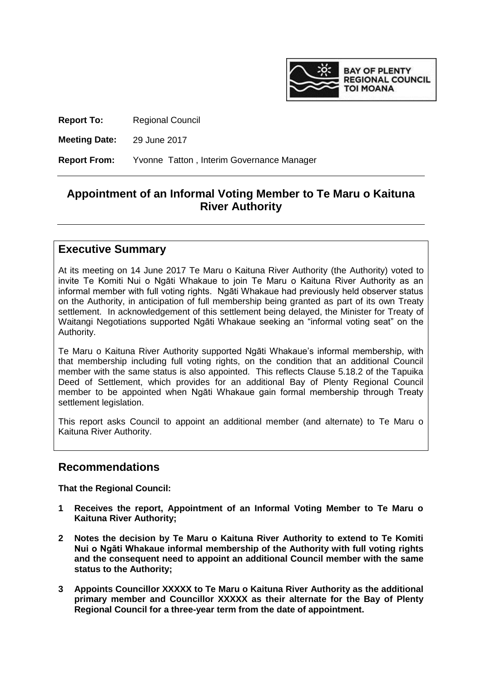

**Report To:** Regional Council

**Meeting Date:** 29 June 2017

**Report From:** Yvonne Tatton , Interim Governance Manager

## **Appointment of an Informal Voting Member to Te Maru o Kaituna River Authority**

## **Executive Summary**

At its meeting on 14 June 2017 Te Maru o Kaituna River Authority (the Authority) voted to invite Te Komiti Nui o Ngāti Whakaue to join Te Maru o Kaituna River Authority as an informal member with full voting rights. Ngāti Whakaue had previously held observer status on the Authority, in anticipation of full membership being granted as part of its own Treaty settlement. In acknowledgement of this settlement being delayed, the Minister for Treaty of Waitangi Negotiations supported Ngāti Whakaue seeking an "informal voting seat" on the Authority.

Te Maru o Kaituna River Authority supported Ngāti Whakaue's informal membership, with that membership including full voting rights, on the condition that an additional Council member with the same status is also appointed. This reflects Clause 5.18.2 of the Tapuika Deed of Settlement, which provides for an additional Bay of Plenty Regional Council member to be appointed when Ngāti Whakaue gain formal membership through Treaty settlement legislation.

This report asks Council to appoint an additional member (and alternate) to Te Maru o Kaituna River Authority.

## **Recommendations**

**That the Regional Council:**

- **1 Receives the report, Appointment of an Informal Voting Member to Te Maru o Kaituna River Authority;**
- **2 Notes the decision by Te Maru o Kaituna River Authority to extend to Te Komiti Nui o Ngāti Whakaue informal membership of the Authority with full voting rights and the consequent need to appoint an additional Council member with the same status to the Authority;**
- **3 Appoints Councillor XXXXX to Te Maru o Kaituna River Authority as the additional primary member and Councillor XXXXX as their alternate for the Bay of Plenty Regional Council for a three-year term from the date of appointment.**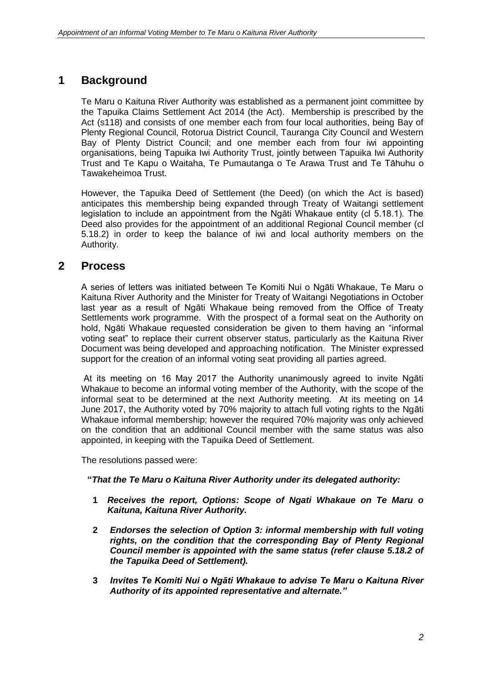## **1 Background**

Te Maru o Kaituna River Authority was established as a permanent joint committee by the Tapuika Claims Settlement Act 2014 (the Act). Membership is prescribed by the Act (s118) and consists of one member each from four local authorities, being Bay of Plenty Regional Council, Rotorua District Council, Tauranga City Council and Western Bay of Plenty District Council; and one member each from four iwi appointing organisations, being Tapuika Iwi Authority Trust, jointly between Tapuika Iwi Authority Trust and Te Kapu o Waitaha, Te Pumautanga o Te Arawa Trust and Te Tāhuhu o Tawakeheimoa Trust.

However, the Tapuika Deed of Settlement (the Deed) (on which the Act is based) anticipates this membership being expanded through Treaty of Waitangi settlement legislation to include an appointment from the Ngāti Whakaue entity (cl 5.18.1). The Deed also provides for the appointment of an additional Regional Council member (cl 5.18.2) in order to keep the balance of iwi and local authority members on the Authority.

## **2 Process**

A series of letters was initiated between Te Komiti Nui o Ngāti Whakaue, Te Maru o Kaituna River Authority and the Minister for Treaty of Waitangi Negotiations in October last year as a result of Ngāti Whakaue being removed from the Office of Treaty Settlements work programme. With the prospect of a formal seat on the Authority on hold, Ngāti Whakaue requested consideration be given to them having an "informal voting seat" to replace their current observer status, particularly as the Kaituna River Document was being developed and approaching notification. The Minister expressed support for the creation of an informal voting seat providing all parties agreed.

At its meeting on 16 May 2017 the Authority unanimously agreed to invite Ngāti Whakaue to become an informal voting member of the Authority, with the scope of the informal seat to be determined at the next Authority meeting. At its meeting on 14 June 2017, the Authority voted by 70% majority to attach full voting rights to the Ngāti Whakaue informal membership; however the required 70% majority was only achieved on the condition that an additional Council member with the same status was also appointed, in keeping with the Tapuika Deed of Settlement.

The resolutions passed were:

#### **"***That the Te Maru o Kaituna River Authority under its delegated authority:*

- **1** *Receives the report, Options: Scope of Ngati Whakaue on Te Maru o Kaituna, Kaituna River Authority.*
- **2** *Endorses the selection of Option 3: informal membership with full voting rights, on the condition that the corresponding Bay of Plenty Regional Council member is appointed with the same status (refer clause 5.18.2 of the Tapuika Deed of Settlement).*
- **3** *Invites Te Komiti Nui o Ngāti Whakaue to advise Te Maru o Kaituna River Authority of its appointed representative and alternate."*